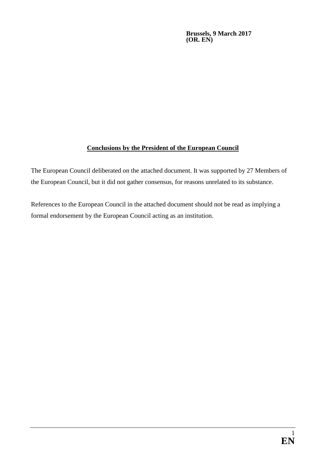**Brussels, 9 March 2017 (OR. EN)**

# **Conclusions by the President of the European Council**

The European Council deliberated on the attached document. It was supported by 27 Members of the European Council, but it did not gather consensus, for reasons unrelated to its substance.

References to the European Council in the attached document should not be read as implying a formal endorsement by the European Council acting as an institution.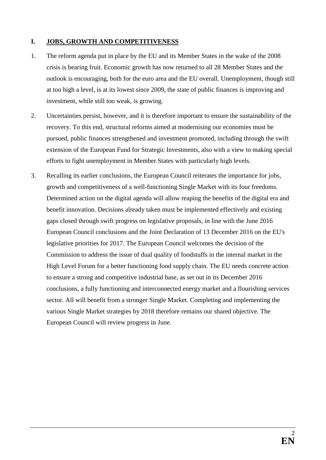## **I. JOBS, GROWTH AND COMPETITIVENESS**

- 1. The reform agenda put in place by the EU and its Member States in the wake of the 2008 crisis is bearing fruit. Economic growth has now returned to all 28 Member States and the outlook is encouraging, both for the euro area and the EU overall. Unemployment, though still at too high a level, is at its lowest since 2009, the state of public finances is improving and investment, while still too weak, is growing.
- 2. Uncertainties persist, however, and it is therefore important to ensure the sustainability of the recovery. To this end, structural reforms aimed at modernising our economies must be pursued, public finances strengthened and investment promoted, including through the swift extension of the European Fund for Strategic Investments, also with a view to making special efforts to fight unemployment in Member States with particularly high levels.
- 3. Recalling its earlier conclusions, the European Council reiterates the importance for jobs, growth and competitiveness of a well-functioning Single Market with its four freedoms. Determined action on the digital agenda will allow reaping the benefits of the digital era and benefit innovation. Decisions already taken must be implemented effectively and existing gaps closed through swift progress on legislative proposals, in line with the June 2016 European Council conclusions and the Joint Declaration of 13 December 2016 on the EU's legislative priorities for 2017. The European Council welcomes the decision of the Commission to address the issue of dual quality of foodstuffs in the internal market in the High Level Forum for a better functioning food supply chain. The EU needs concrete action to ensure a strong and competitive industrial base, as set out in its December 2016 conclusions, a fully functioning and interconnected energy market and a flourishing services sector. All will benefit from a stronger Single Market. Completing and implementing the various Single Market strategies by 2018 therefore remains our shared objective. The European Council will review progress in June.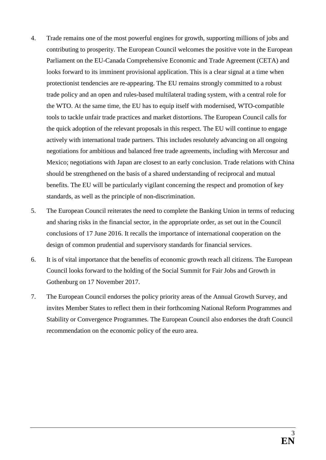- 4. Trade remains one of the most powerful engines for growth, supporting millions of jobs and contributing to prosperity. The European Council welcomes the positive vote in the European Parliament on the EU-Canada Comprehensive Economic and Trade Agreement (CETA) and looks forward to its imminent provisional application. This is a clear signal at a time when protectionist tendencies are re-appearing. The EU remains strongly committed to a robust trade policy and an open and rules-based multilateral trading system, with a central role for the WTO. At the same time, the EU has to equip itself with modernised, WTO-compatible tools to tackle unfair trade practices and market distortions. The European Council calls for the quick adoption of the relevant proposals in this respect. The EU will continue to engage actively with international trade partners. This includes resolutely advancing on all ongoing negotiations for ambitious and balanced free trade agreements, including with Mercosur and Mexico; negotiations with Japan are closest to an early conclusion. Trade relations with China should be strengthened on the basis of a shared understanding of reciprocal and mutual benefits. The EU will be particularly vigilant concerning the respect and promotion of key standards, as well as the principle of non-discrimination.
- 5. The European Council reiterates the need to complete the Banking Union in terms of reducing and sharing risks in the financial sector, in the appropriate order, as set out in the Council conclusions of 17 June 2016. It recalls the importance of international cooperation on the design of common prudential and supervisory standards for financial services.
- 6. It is of vital importance that the benefits of economic growth reach all citizens. The European Council looks forward to the holding of the Social Summit for Fair Jobs and Growth in Gothenburg on 17 November 2017.
- 7. The European Council endorses the policy priority areas of the Annual Growth Survey, and invites Member States to reflect them in their forthcoming National Reform Programmes and Stability or Convergence Programmes. The European Council also endorses the draft Council recommendation on the economic policy of the euro area.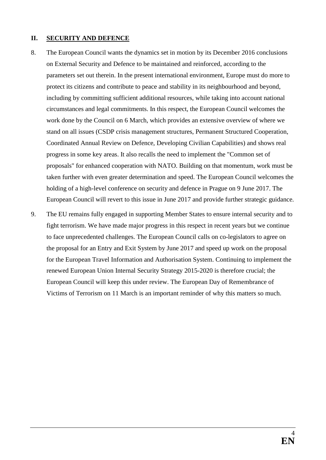#### **II. SECURITY AND DEFENCE**

- 8. The European Council wants the dynamics set in motion by its December 2016 conclusions on External Security and Defence to be maintained and reinforced, according to the parameters set out therein. In the present international environment, Europe must do more to protect its citizens and contribute to peace and stability in its neighbourhood and beyond, including by committing sufficient additional resources, while taking into account national circumstances and legal commitments. In this respect, the European Council welcomes the work done by the Council on 6 March, which provides an extensive overview of where we stand on all issues (CSDP crisis management structures, Permanent Structured Cooperation, Coordinated Annual Review on Defence, Developing Civilian Capabilities) and shows real progress in some key areas. It also recalls the need to implement the "Common set of proposals" for enhanced cooperation with NATO. Building on that momentum, work must be taken further with even greater determination and speed. The European Council welcomes the holding of a high-level conference on security and defence in Prague on 9 June 2017. The European Council will revert to this issue in June 2017 and provide further strategic guidance.
- 9. The EU remains fully engaged in supporting Member States to ensure internal security and to fight terrorism. We have made major progress in this respect in recent years but we continue to face unprecedented challenges. The European Council calls on co-legislators to agree on the proposal for an Entry and Exit System by June 2017 and speed up work on the proposal for the European Travel Information and Authorisation System. Continuing to implement the renewed European Union Internal Security Strategy 2015-2020 is therefore crucial; the European Council will keep this under review. The European Day of Remembrance of Victims of Terrorism on 11 March is an important reminder of why this matters so much.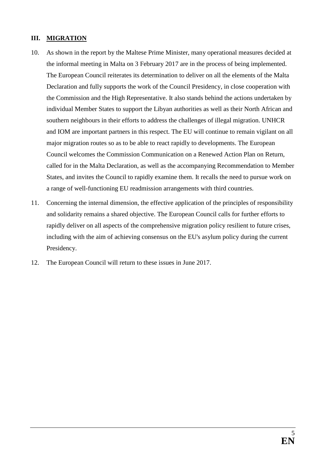# **III. MIGRATION**

- 10. As shown in the report by the Maltese Prime Minister, many operational measures decided at the informal meeting in Malta on 3 February 2017 are in the process of being implemented. The European Council reiterates its determination to deliver on all the elements of the Malta Declaration and fully supports the work of the Council Presidency, in close cooperation with the Commission and the High Representative. It also stands behind the actions undertaken by individual Member States to support the Libyan authorities as well as their North African and southern neighbours in their efforts to address the challenges of illegal migration. UNHCR and IOM are important partners in this respect. The EU will continue to remain vigilant on all major migration routes so as to be able to react rapidly to developments. The European Council welcomes the Commission Communication on a Renewed Action Plan on Return, called for in the Malta Declaration, as well as the accompanying Recommendation to Member States, and invites the Council to rapidly examine them. It recalls the need to pursue work on a range of well-functioning EU readmission arrangements with third countries.
- 11. Concerning the internal dimension, the effective application of the principles of responsibility and solidarity remains a shared objective. The European Council calls for further efforts to rapidly deliver on all aspects of the comprehensive migration policy resilient to future crises, including with the aim of achieving consensus on the EU's asylum policy during the current Presidency.
- 12. The European Council will return to these issues in June 2017.